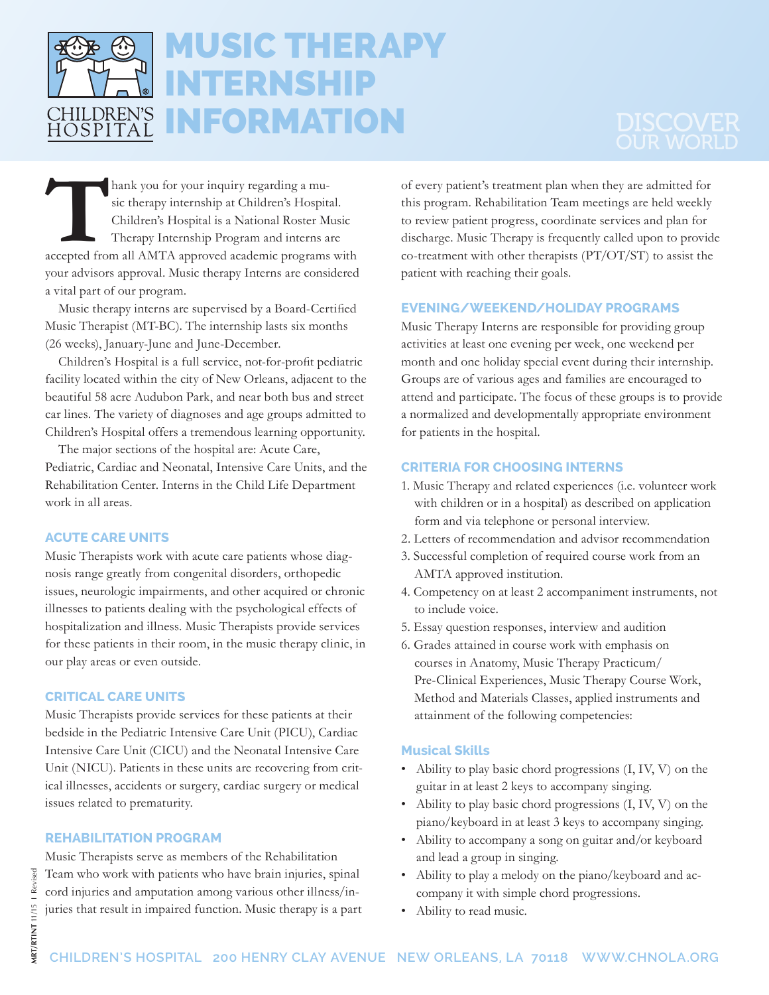

# MUSIC THERAPY INTERNSHIP INFORMATION

**Thank you for your inquiry regarding a mu-**<br>
sic therapy internship at Children's Hospital.<br>
Children's Hospital is a National Roster Music<br>
Therapy Internship Program and interns are<br>
accepted from all AMTA approved acad sic therapy internship at Children's Hospital. Children's Hospital is a National Roster Music Therapy Internship Program and interns are your advisors approval. Music therapy Interns are considered a vital part of our program.

 Music therapy interns are supervised by a Board-Certified Music Therapist (MT-BC). The internship lasts six months (26 weeks), January-June and June-December.

 Children's Hospital is a full service, not-for-profit pediatric facility located within the city of New Orleans, adjacent to the beautiful 58 acre Audubon Park, and near both bus and street car lines. The variety of diagnoses and age groups admitted to Children's Hospital offers a tremendous learning opportunity.

The major sections of the hospital are: Acute Care, Pediatric, Cardiac and Neonatal, Intensive Care Units, and the Rehabilitation Center. Interns in the Child Life Department work in all areas.

# **ACUTE CARE UNITS**

Music Therapists work with acute care patients whose diagnosis range greatly from congenital disorders, orthopedic issues, neurologic impairments, and other acquired or chronic illnesses to patients dealing with the psychological effects of hospitalization and illness. Music Therapists provide services for these patients in their room, in the music therapy clinic, in our play areas or even outside.

# **CRITICAL CARE UNITS**

Music Therapists provide services for these patients at their bedside in the Pediatric Intensive Care Unit (PICU), Cardiac Intensive Care Unit (CICU) and the Neonatal Intensive Care Unit (NICU). Patients in these units are recovering from critical illnesses, accidents or surgery, cardiac surgery or medical issues related to prematurity.

# **REHABILITATION PROGRAM**

Music Therapists serve as members of the Rehabilitation Team who work with patients who have brain injuries, spinal cord injuries and amputation among various other illness/injuries that result in impaired function. Music therapy is a part of every patient's treatment plan when they are admitted for this program. Rehabilitation Team meetings are held weekly to review patient progress, coordinate services and plan for discharge. Music Therapy is frequently called upon to provide co-treatment with other therapists (PT/OT/ST) to assist the patient with reaching their goals.

# **EVENING/WEEKEND/HOLIDAY PROGRAMS**

Music Therapy Interns are responsible for providing group activities at least one evening per week, one weekend per month and one holiday special event during their internship. Groups are of various ages and families are encouraged to attend and participate. The focus of these groups is to provide a normalized and developmentally appropriate environment for patients in the hospital.

# **CRITERIA FOR CHOOSING INTERNS**

- 1. Music Therapy and related experiences (i.e. volunteer work with children or in a hospital) as described on application form and via telephone or personal interview.
- 2. Letters of recommendation and advisor recommendation
- 3. Successful completion of required course work from an AMTA approved institution.
- 4. Competency on at least 2 accompaniment instruments, not to include voice.
- 5. Essay question responses, interview and audition
- 6. Grades attained in course work with emphasis on courses in Anatomy, Music Therapy Practicum/ Pre-Clinical Experiences, Music Therapy Course Work, Method and Materials Classes, applied instruments and attainment of the following competencies:

# **Musical Skills**

- Ability to play basic chord progressions (I, IV, V) on the guitar in at least 2 keys to accompany singing.
- Ability to play basic chord progressions (I, IV, V) on the piano/keyboard in at least 3 keys to accompany singing.
- Ability to accompany a song on guitar and/or keyboard and lead a group in singing.
- Ability to play a melody on the piano/keyboard and accompany it with simple chord progressions.
- Ability to read music.